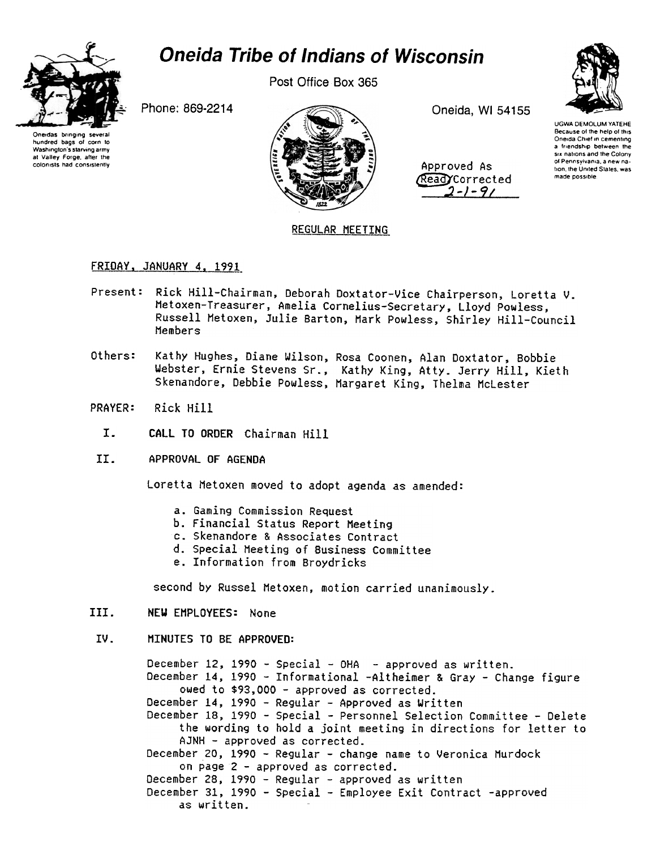

# **Oneida Tribe of Indians of Wisconsin**

Post Office Box 365

Phone: 869-2214

Oneidas bringing hundred bags of corn to Washington's starving army at Valley Forge, after the colonists had consistently



Oneida, WI 54155

| Approved As    |  |
|----------------|--|
| Read Corrected |  |
| 2-1-91         |  |



## **REGULAR MEETING**

### FRIDAY, JANUARY 4, 1991

- Present: Rick Hill-Chairman, Deborah Doxtator-Vice Chairperson, Loretta V. Metoxen-Treasurer, Amelia Cornelius-Secretary, Lloyd Powless, Russell Metoxen, Julie Barton, Mark Powless, Shirley Hill-Council Members
- Others: Kathy Hughes, Diane Wilson, Rosa Coonen, Alan Doxtator, Bobbie Webster, Ernie Stevens Sr., Kathy King, Atty. Jerry Hill, Kieth Skenandore, Debbie Powless, Margaret King, Thelma McLester
- **PRAYER:** Rick Hill
	- $I.$ CALL TO ORDER Chairman Hill
- II. APPROVAL OF AGENDA

Loretta Metoxen moved to adopt agenda as amended:

- a. Gaming Commission Request
- b. Financial Status Report Meeting
- c. Skenandore & Associates Contract
- d. Special Meeting of Business Committee
- e. Information from Broydricks

second by Russel Metoxen, motion carried unanimously.

III. NEW EMPLOYEES: None

### TV. MINUTES TO BE APPROVED:

December 12, 1990 - Special - OHA - approved as written. December 14, 1990 - Informational -Altheimer & Gray - Change figure owed to \$93,000 - approved as corrected. December 14, 1990 - Regular - Approved as Written December 18, 1990 - Special - Personnel Selection Committee - Delete the wording to hold a joint meeting in directions for letter to AJNH - approved as corrected. December 20, 1990 - Regular - change name to Veronica Murdock on page 2 - approved as corrected. December 28, 1990 - Regular - approved as written December 31, 1990 - Special - Employee Exit Contract -approved as written.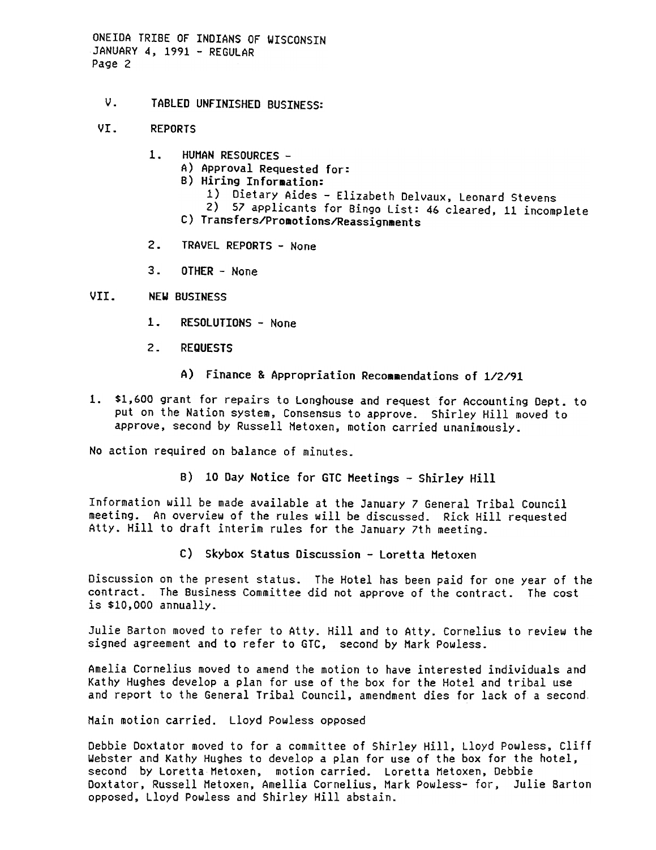ONEIDA TRIBE OF INDIANS OF WISCONSIN JANUARY 4, 1991 -REGULAR Page 2

- v. TABLED UNFINISHED BUSINESS:
- UT. REPORTS
	- $1<sup>1</sup>$ HUMAN RESOURCES-
		- A) Approval Requested for:
		- B) Hiring Information:
			- 1) Dietary Aides Elizabeth Delvaux, Leonard Stevens
		- 2) 57 applicants for Bingo List: 46 cleared, 11 incomplete
		- C) Transfers/Promotions/Reassignments
	- $2.$ TRAVEL REPORTS - None
	- 3. OTHER None

#### VII. NEW BUSINESS

- $1<sub>z</sub>$ RESOLUTIONS - None
- 2. REQUESTS
	- A) Finance & Appropriation Recommendations of 1/2/91
- 1. \$1,600 grant for repairs to Longhouse and request for Accounting Dept. to put on the Nation system, Consensus to approve. Shirley Hill moved to approve, second by Russell Hetoxen, motion carried unanimously.

No action required on balance of minutes.

B) 10 Day Notice for GTC Meetings - Shirley Hill

Information will be made available at the January 7 General Tribal Council meeting. An overview of the rules will be discussed. Rick Hill requested Atty. Hill to draft interim rules for the January 7th meeting.

c) Skybox Status Discussion -Loretta Hetoxen

Discussion on the present status. The Hotel has been paid for one year of the contract. The Business Committee did not approve of the contract. The cost is \$10,000 annually.

Julie Barton moved to refer to Atty. Hill and to Atty. Cornelius to review the signed agreement and to refer to GTC, second by Hark Powless.

Amelia Cornelius moved to amend the motion to have interested individuals and Kathy Hughes develop a plan for use of the box for the Hotel and tribal use and report to the General Tribal Council, amendment dies for lack of a second

Main motion carried. Lloyd Powless opposed

Debbie Doxtator moved to for a committee of Shirley Hill, Lloyd Powless, Cliff Webster and Kathy Hughes to develop a plan for use of the box for the hotel, second by Loretta Metoxen, motion carried. Loretta Metoxen, Debbie Doxtator, Russell Metoxen, Amellia Cornelius, Mark powless- for, Julie Barton opposed, Lloyd Powless and Shirley Hill abstain.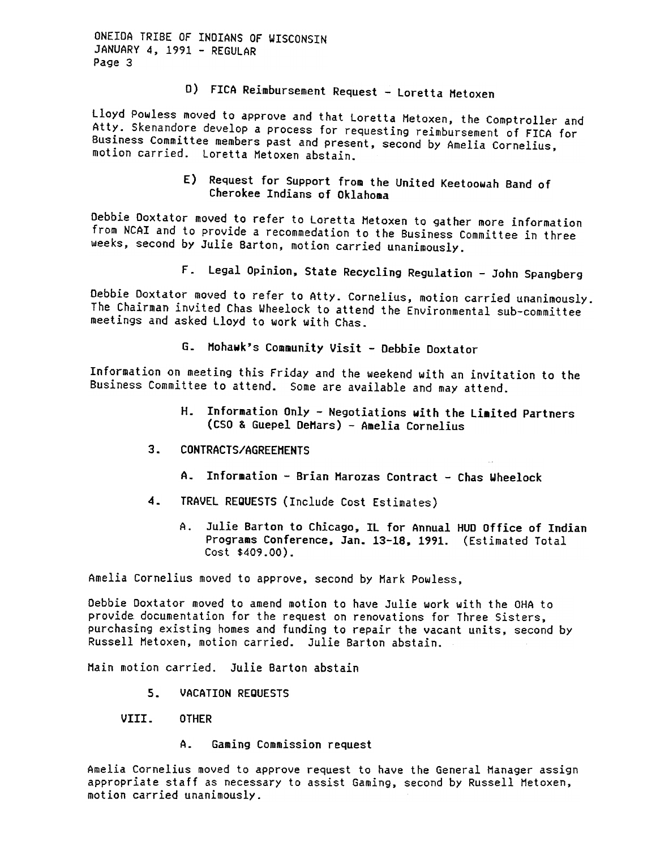ONEIDA TRIBE OF INDIANS OF WISCONSIN JANUARY 4, 1991 - REGULAR Page 3

D) FICA Reimbursement Request - Loretta Metoxen

Lloyd Powless moved to approve and that Loretta Hetoxen, the Comptroller and Atty. Skenandore develop a process for requesting reimbursement of FICA for Business Committee members past and present, second by Amelia Cornelius, motion carried. Loretta Hetoxen abstain.

> E) Request for Support from the United Keetoowah Band of Cherokee Indians of Oklahoma

Debbie Ooxtator moved to refer to Loretta Netoxen to 9ather more information from NCAI and to provide a recommedation to the Business Committee in three weeks, second by Julie Barton, motion carried unanimously.

Legal Opinion, State Recycling Regulation -John Spangberg

Debbie Doxtator moved to refer to Atty. Cornelius, motion carried unanimously. The Chairman invited Chas Wheelock to attend the Environmental sub-committee meetings and asked Lloyd to work with Chas.

G. Mohawk's Community Visit - Debbie Doxtator

Information on meeting this Friday and the weekend with an invitation to the Business Committee to attend. Some are available and may attend.

- H. Information Only Negotiations with the Limited Partners (CSO & Guepel DeMars) -Amelia Cornelius
- $3<sub>-</sub>$ CONTRACTS/AGREEHENTS
	- A. Information Brian Marozas Contract Chas Wheelock
- 4. TRAVEL REQUESTS (Include Cost Estimates)
	- A. Julie Barton to Chicago, IL for Annual HUO Office of Indian Programs Conference, Jan. 13-18,1991. (Estimated Total Cost \$409.00).

Amelia Cornelius moved to approve, second by Hark Powless,

Debbie Doxtator moved to amend motion to have Julie work with the DHA to provide documentation for the request on renovations for Three Sisters, purchasing existing homes and funding to repair the vacant units, second by Russell Hetoxen, motion carried. Julie Barton abstain.

Main motion carried. Julie Barton abstain

- $5.$ VACATION REQUESTS
- VIII. OTHER
	- A. Gaming Commission request

Amelia Cornelius moved to approve request to have the General Nanager assign appropriate staff as necessary to assist Gaming, second by Russell Hetoxen, motion carried unanimously-